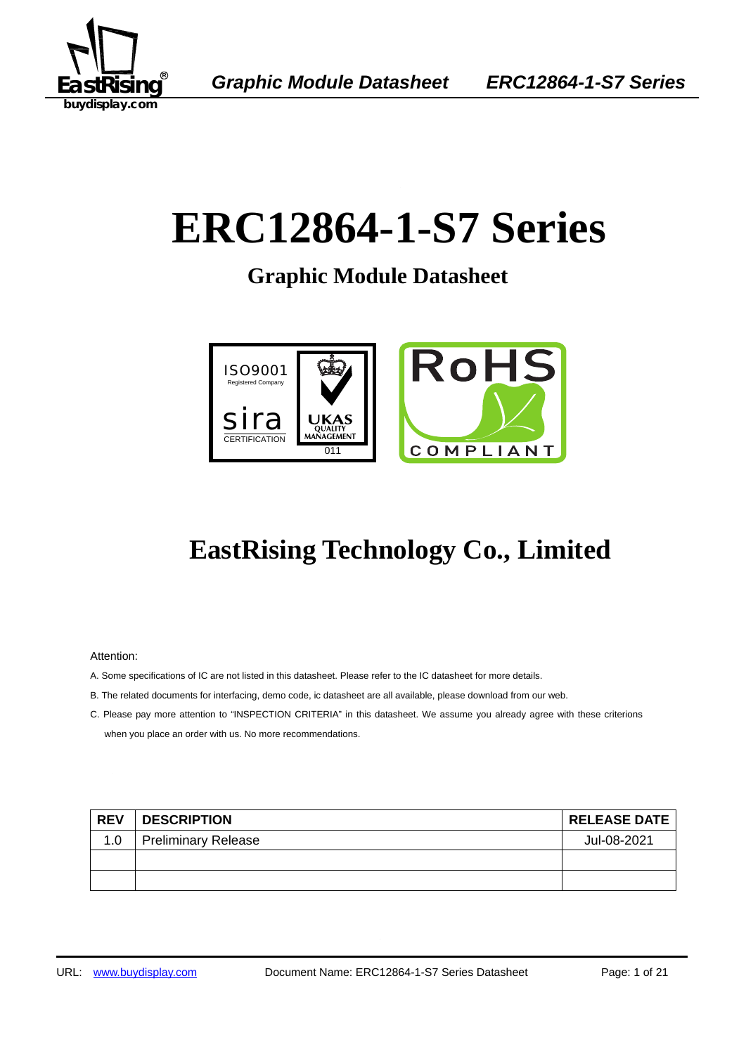

# **ERC12864-1-S7 Series**

**Graphic Module Datasheet** 



## **EastRising Technology Co., Limited**

Attention:

- A. Some specifications of IC are not listed in this datasheet. Please refer to the IC datasheet for more details.
- B. The related documents for interfacing, demo code, ic datasheet are all available, please download from our web.
- C. Please pay more attention to "INSPECTION CRITERIA" in this datasheet. We assume you already agree with these criterions when you place an order with us. No more recommendations.

| <b>REV</b> | <b>DESCRIPTION</b>         | <b>RELEASE DATE</b> |
|------------|----------------------------|---------------------|
| 1.0        | <b>Preliminary Release</b> | Jul-08-2021         |
|            |                            |                     |
|            |                            |                     |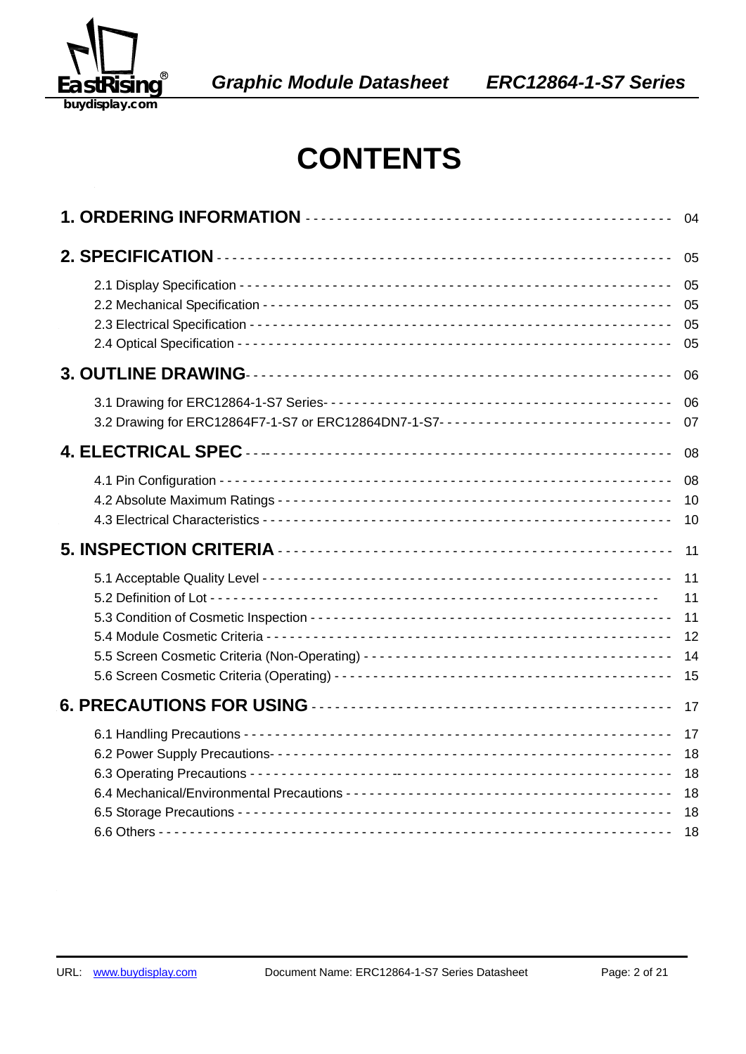

EA *Graphic Module Datasheet ERC12864-1-S7 Series* 

## **CONTENTS**

|                                                                                  | 04                               |
|----------------------------------------------------------------------------------|----------------------------------|
|                                                                                  | 05                               |
|                                                                                  | 05<br>05<br>05<br>05             |
|                                                                                  | 06                               |
| 3.2 Drawing for ERC12864F7-1-S7 or ERC12864DN7-1-S7----------------------------- | 06<br>07                         |
|                                                                                  | 08                               |
|                                                                                  | 08<br>10<br>10                   |
|                                                                                  | 11                               |
|                                                                                  | 11<br>11<br>11<br>12<br>14<br>15 |
|                                                                                  | 17                               |
|                                                                                  | 17<br>18<br>18<br>18<br>18       |
|                                                                                  | 18                               |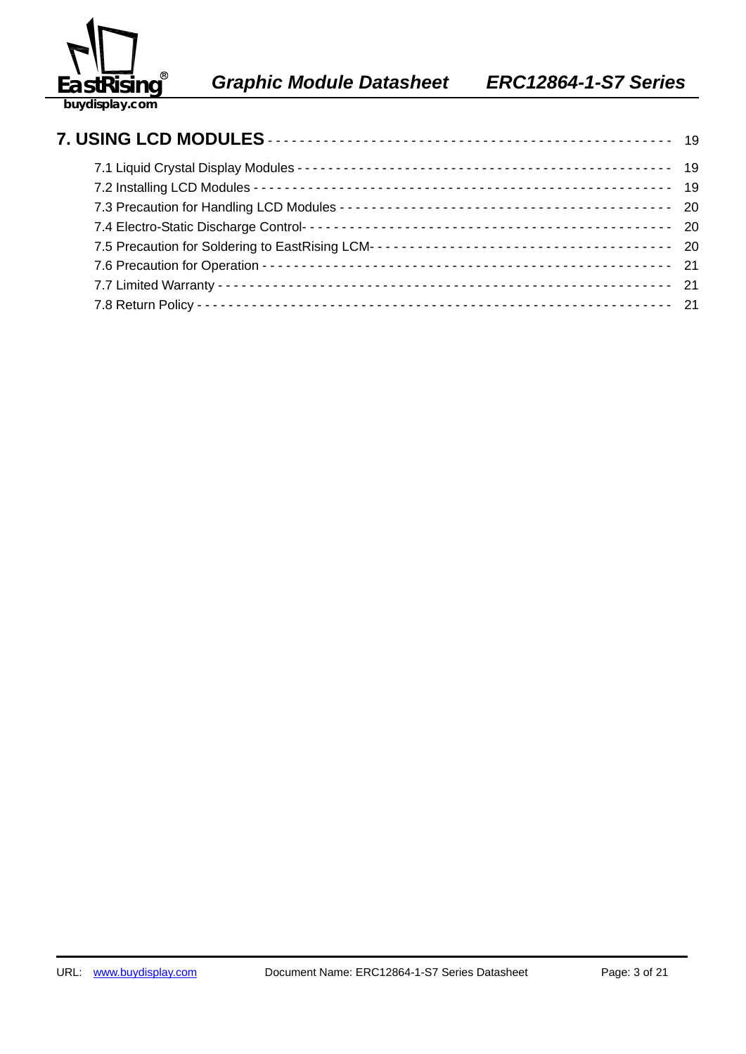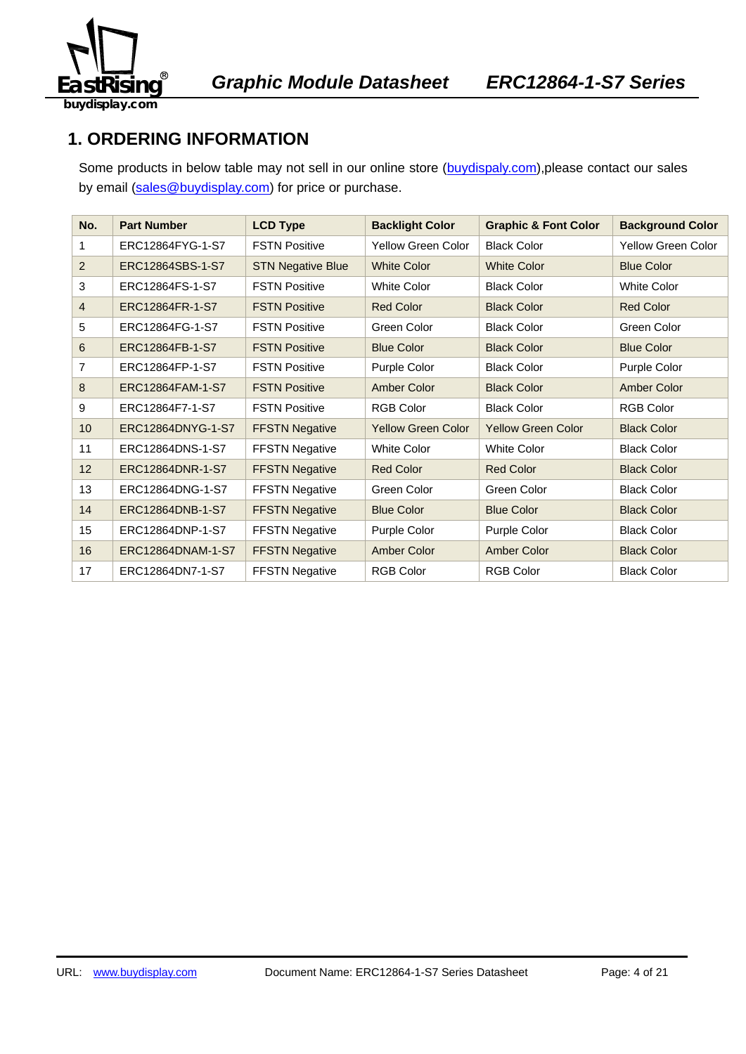

## **1. ORDERING INFORMATION**

Some products in below table may not sell in our online store (buydispaly.com), please contact our sales by email (sales@buydisplay.com) for price or purchase.

| No.            | <b>Part Number</b> | <b>LCD Type</b>          | <b>Backlight Color</b>    | <b>Graphic &amp; Font Color</b> | <b>Background Color</b>   |
|----------------|--------------------|--------------------------|---------------------------|---------------------------------|---------------------------|
| 1              | ERC12864FYG-1-S7   | <b>FSTN Positive</b>     | <b>Yellow Green Color</b> | <b>Black Color</b>              | <b>Yellow Green Color</b> |
| 2              | ERC12864SBS-1-S7   | <b>STN Negative Blue</b> | <b>White Color</b>        | <b>White Color</b>              | <b>Blue Color</b>         |
| 3              | ERC12864FS-1-S7    | <b>FSTN Positive</b>     | <b>White Color</b>        | <b>Black Color</b>              | <b>White Color</b>        |
| $\overline{4}$ | ERC12864FR-1-S7    | <b>FSTN Positive</b>     | <b>Red Color</b>          | <b>Black Color</b>              | <b>Red Color</b>          |
| 5              | ERC12864FG-1-S7    | <b>FSTN Positive</b>     | Green Color               | <b>Black Color</b>              | Green Color               |
| 6              | ERC12864FB-1-S7    | <b>FSTN Positive</b>     | <b>Blue Color</b>         | <b>Black Color</b>              | <b>Blue Color</b>         |
| 7              | ERC12864FP-1-S7    | <b>FSTN Positive</b>     | Purple Color              | <b>Black Color</b>              | Purple Color              |
| 8              | ERC12864FAM-1-S7   | <b>FSTN Positive</b>     | Amber Color               | <b>Black Color</b>              | <b>Amber Color</b>        |
| 9              | ERC12864F7-1-S7    | <b>FSTN Positive</b>     | <b>RGB Color</b>          | <b>Black Color</b>              | <b>RGB Color</b>          |
| 10             | ERC12864DNYG-1-S7  | <b>FFSTN Negative</b>    | <b>Yellow Green Color</b> | <b>Yellow Green Color</b>       | <b>Black Color</b>        |
| 11             | ERC12864DNS-1-S7   | <b>FFSTN Negative</b>    | <b>White Color</b>        | <b>White Color</b>              | <b>Black Color</b>        |
| 12             | ERC12864DNR-1-S7   | <b>FFSTN Negative</b>    | <b>Red Color</b>          | <b>Red Color</b>                | <b>Black Color</b>        |
| 13             | ERC12864DNG-1-S7   | <b>FFSTN Negative</b>    | Green Color               | Green Color                     | <b>Black Color</b>        |
| 14             | ERC12864DNB-1-S7   | <b>FFSTN Negative</b>    | <b>Blue Color</b>         | <b>Blue Color</b>               | <b>Black Color</b>        |
| 15             | ERC12864DNP-1-S7   | <b>FFSTN Negative</b>    | Purple Color              | Purple Color                    | <b>Black Color</b>        |
| 16             | ERC12864DNAM-1-S7  | <b>FFSTN Negative</b>    | Amber Color               | Amber Color                     | <b>Black Color</b>        |
| 17             | ERC12864DN7-1-S7   | <b>FFSTN Negative</b>    | <b>RGB Color</b>          | <b>RGB Color</b>                | <b>Black Color</b>        |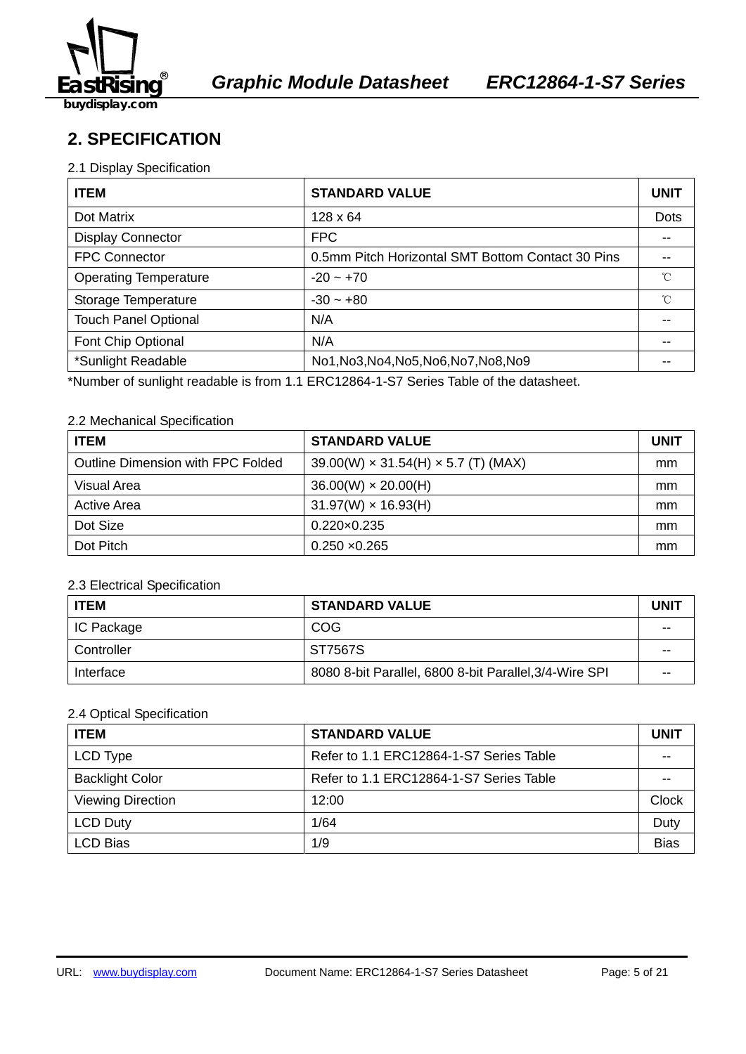

## **2. SPECIFICATION**

#### 2.1 Display Specification

| <b>ITEM</b>                  | <b>STANDARD VALUE</b>                             | <b>UNIT</b> |
|------------------------------|---------------------------------------------------|-------------|
| Dot Matrix                   | $128 \times 64$                                   | <b>Dots</b> |
| <b>Display Connector</b>     | <b>FPC</b>                                        | --          |
| <b>FPC Connector</b>         | 0.5mm Pitch Horizontal SMT Bottom Contact 30 Pins |             |
| <b>Operating Temperature</b> | $-20 - +70$                                       | °C          |
| Storage Temperature          | $-30 - +80$                                       | $^{\circ}C$ |
| <b>Touch Panel Optional</b>  | N/A                                               |             |
| Font Chip Optional           | N/A                                               |             |
| *Sunlight Readable           | No1, No3, No4, No5, No6, No7, No8, No9            | --          |

\*Number of sunlight readable is from 1.1 ERC12864-1-S7 Series Table of the datasheet.

#### 2.2 Mechanical Specification

| <b>ITEM</b>                       | <b>STANDARD VALUE</b>                          | <b>UNIT</b> |
|-----------------------------------|------------------------------------------------|-------------|
| Outline Dimension with FPC Folded | $39.00(W) \times 31.54(H) \times 5.7(T)$ (MAX) | mm          |
| Visual Area                       | $36.00(W) \times 20.00(H)$                     | mm          |
| Active Area                       | $31.97(W) \times 16.93(H)$                     | mm          |
| Dot Size                          | $0.220 \times 0.235$                           | mm          |
| Dot Pitch                         | $0.250 \times 0.265$                           | mm          |

#### 2.3 Electrical Specification

| <b>ITEM</b> | <b>STANDARD VALUE</b>                                  | UNIT |
|-------------|--------------------------------------------------------|------|
| IC Package  | <b>COG</b>                                             | --   |
| Controller  | ST7567S                                                | --   |
| Interface   | 8080 8-bit Parallel, 6800 8-bit Parallel, 3/4-Wire SPI | --   |

#### 2.4 Optical Specification

| <b>ITEM</b>              | <b>STANDARD VALUE</b>                   | <b>UNIT</b>  |
|--------------------------|-----------------------------------------|--------------|
| LCD Type                 | Refer to 1.1 ERC12864-1-S7 Series Table |              |
| <b>Backlight Color</b>   | Refer to 1.1 ERC12864-1-S7 Series Table |              |
| <b>Viewing Direction</b> | 12:00                                   | <b>Clock</b> |
| <b>LCD Duty</b>          | 1/64                                    | Duty         |
| <b>LCD Bias</b>          | 1/9                                     | <b>Bias</b>  |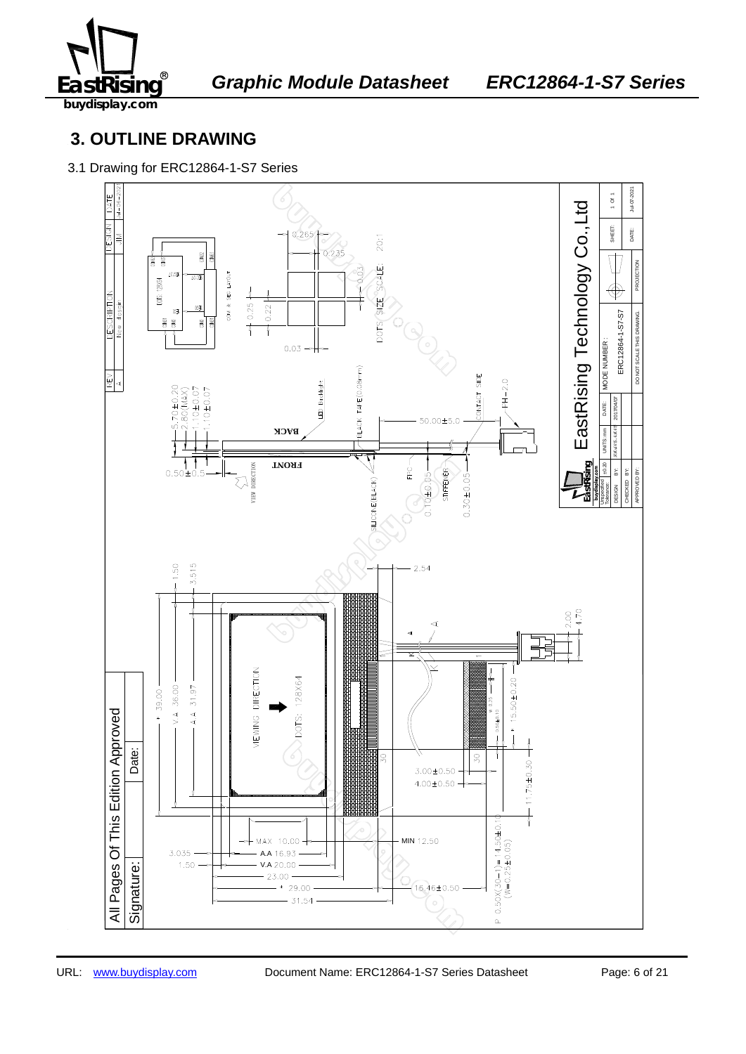

## **3. OUTLINE DRAWING**

3.1 Drawing for ERC12864-1-S7 Series

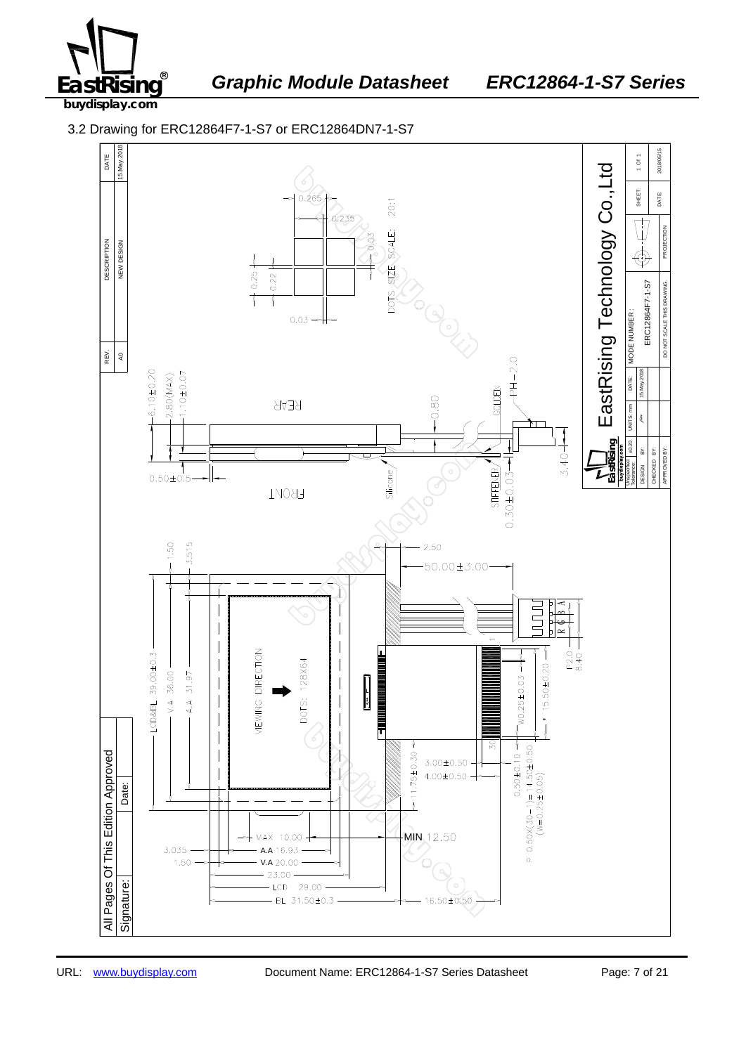

<sup>®</sup> Graphic Module Datasheet ERC12864-1-S7 Series

**buydisplay.com**

3.2 Drawing for ERC12864F7-1-S7 or ERC12864DN7-1-S7

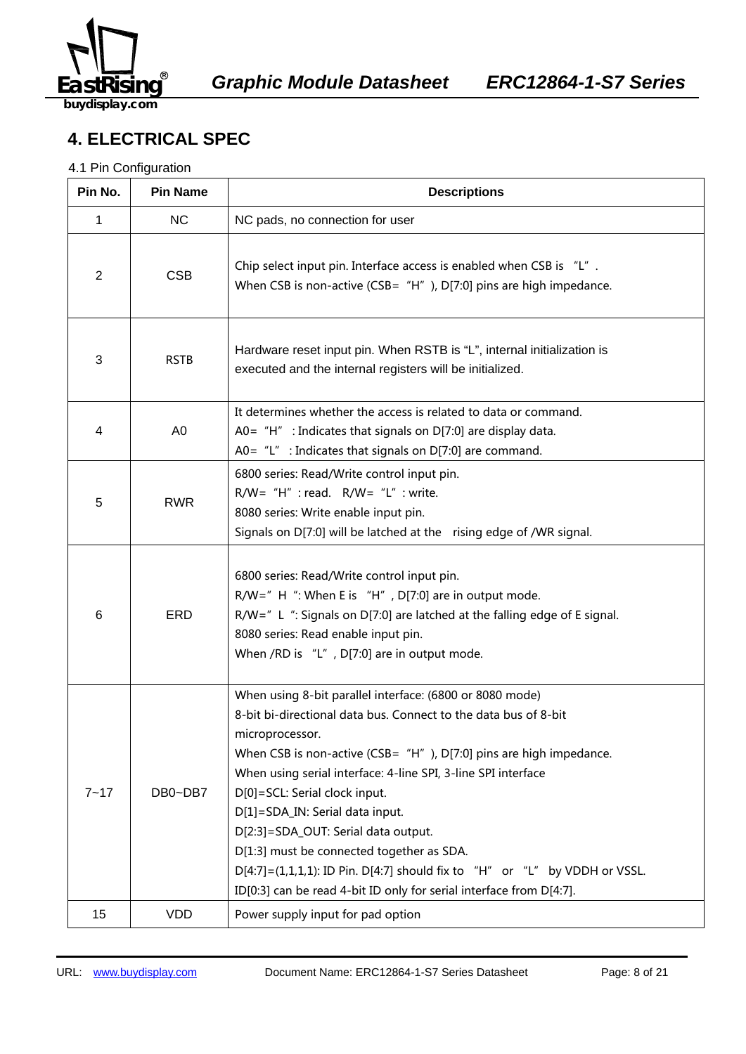

## **4. ELECTRICAL SPEC**

#### 4.1 Pin Configuration

| Pin No.        | <b>Pin Name</b> | <b>Descriptions</b>                                                                                                                                                                                                                                                                                                                                                                                                                                                                                                                                                                                        |
|----------------|-----------------|------------------------------------------------------------------------------------------------------------------------------------------------------------------------------------------------------------------------------------------------------------------------------------------------------------------------------------------------------------------------------------------------------------------------------------------------------------------------------------------------------------------------------------------------------------------------------------------------------------|
| 1              | <b>NC</b>       | NC pads, no connection for user                                                                                                                                                                                                                                                                                                                                                                                                                                                                                                                                                                            |
| $\overline{2}$ | <b>CSB</b>      | Chip select input pin. Interface access is enabled when CSB is "L".<br>When CSB is non-active (CSB= $H''$ ), D[7:0] pins are high impedance.                                                                                                                                                                                                                                                                                                                                                                                                                                                               |
| 3              | <b>RSTB</b>     | Hardware reset input pin. When RSTB is "L", internal initialization is<br>executed and the internal registers will be initialized.                                                                                                                                                                                                                                                                                                                                                                                                                                                                         |
| 4              | A <sub>0</sub>  | It determines whether the access is related to data or command.<br>A0= $H''$ : Indicates that signals on D[7:0] are display data.<br>A0= $"L"$ : Indicates that signals on D[7:0] are command.                                                                                                                                                                                                                                                                                                                                                                                                             |
| 5              | <b>RWR</b>      | 6800 series: Read/Write control input pin.<br>$R/W = "H"$ : read. $R/W = "L"$ : write.<br>8080 series: Write enable input pin.<br>Signals on D[7:0] will be latched at the rising edge of /WR signal.                                                                                                                                                                                                                                                                                                                                                                                                      |
| 6              | <b>ERD</b>      | 6800 series: Read/Write control input pin.<br>$R/W =$ " H ": When E is "H", D[7:0] are in output mode.<br>R/W=" L ": Signals on D[7:0] are latched at the falling edge of E signal.<br>8080 series: Read enable input pin.<br>When /RD is "L", D[7:0] are in output mode.                                                                                                                                                                                                                                                                                                                                  |
| $7 - 17$       | DB0~DB7         | When using 8-bit parallel interface: (6800 or 8080 mode)<br>8-bit bi-directional data bus. Connect to the data bus of 8-bit<br>microprocessor.<br>When CSB is non-active (CSB= $H''$ ), D[7:0] pins are high impedance.<br>When using serial interface: 4-line SPI, 3-line SPI interface<br>D[0]=SCL: Serial clock input.<br>D[1]=SDA_IN: Serial data input.<br>D[2:3]=SDA_OUT: Serial data output.<br>D[1:3] must be connected together as SDA.<br>$D[4:7] = (1,1,1,1)$ : ID Pin. D[4:7] should fix to "H" or "L" by VDDH or VSSL.<br>ID[0:3] can be read 4-bit ID only for serial interface from D[4:7]. |
| 15             | <b>VDD</b>      | Power supply input for pad option                                                                                                                                                                                                                                                                                                                                                                                                                                                                                                                                                                          |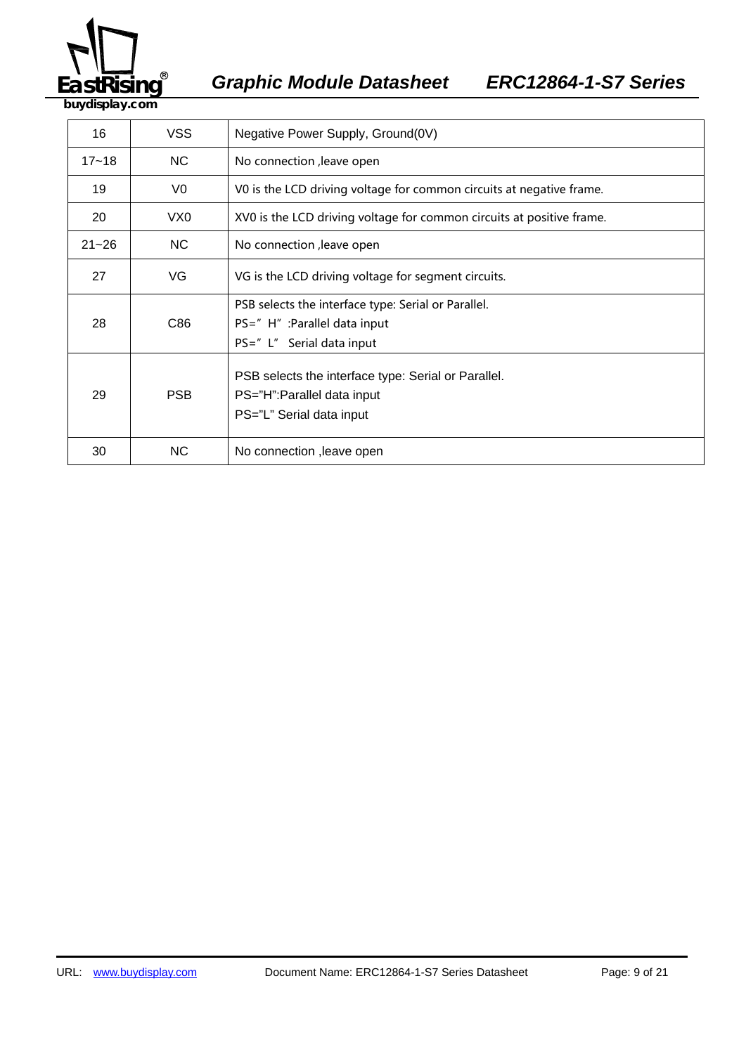

<sup>®</sup> Graphic Module Datasheet ERC12864-1-S7 Series

**buydisplay.com**

| 16        | <b>VSS</b> | Negative Power Supply, Ground(0V)                                                                                 |
|-----------|------------|-------------------------------------------------------------------------------------------------------------------|
| $17 - 18$ | NC.        | No connection , leave open                                                                                        |
| 19        | V0         | V0 is the LCD driving voltage for common circuits at negative frame.                                              |
| 20        | VX0        | XV0 is the LCD driving voltage for common circuits at positive frame.                                             |
| $21 - 26$ | NC.        | No connection , leave open                                                                                        |
| 27        | VG         | VG is the LCD driving voltage for segment circuits.                                                               |
| 28        | C86        | PSB selects the interface type: Serial or Parallel.<br>PS=" H" : Parallel data input<br>PS=" L" Serial data input |
| 29        | <b>PSB</b> | PSB selects the interface type: Serial or Parallel.<br>PS="H":Parallel data input<br>PS="L" Serial data input     |
| 30        | NC.        | No connection , leave open                                                                                        |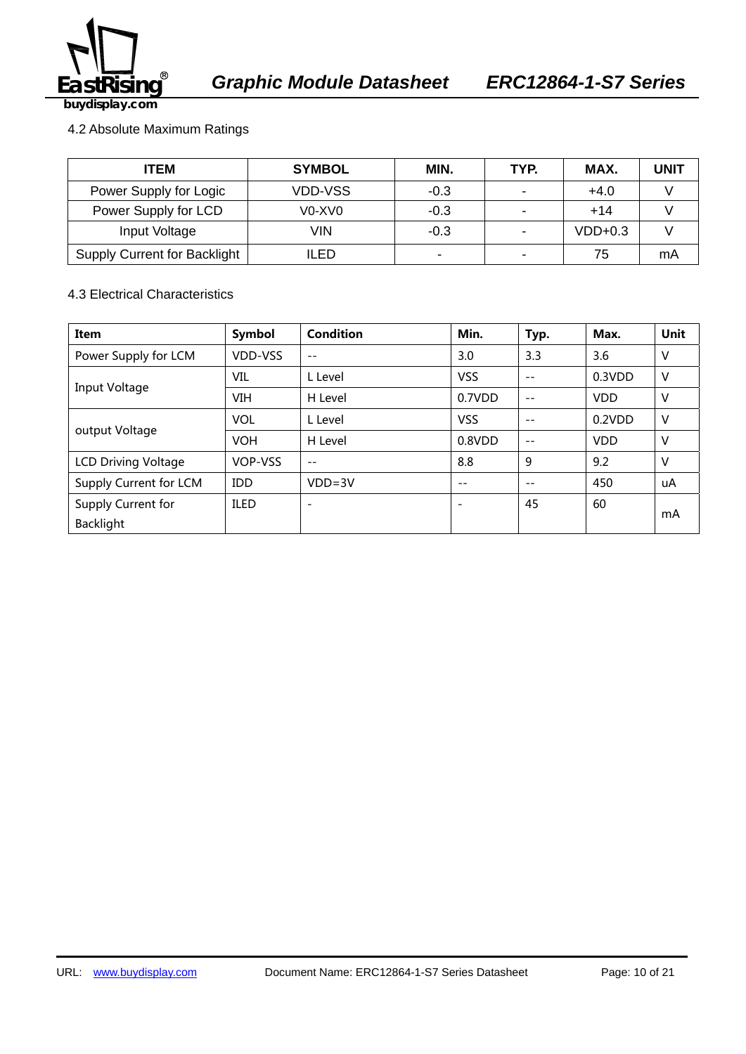

#### 4.2 Absolute Maximum Ratings

| <b>ITEM</b>                  | <b>SYMBOL</b>                               | MIN.                     | TYP. | MAX.      | <b>UNIT</b> |
|------------------------------|---------------------------------------------|--------------------------|------|-----------|-------------|
| Power Supply for Logic       | VDD-VSS                                     | $-0.3$                   |      | $+4.0$    |             |
| Power Supply for LCD         | V <sub>0</sub> -X <sub>V</sub> <sub>0</sub> | $-0.3$                   |      | $+14$     |             |
| Input Voltage                | VIN                                         | $-0.3$                   |      | $VDD+0.3$ |             |
| Supply Current for Backlight | LED                                         | $\overline{\phantom{0}}$ |      | 75        | mA          |

4.3 Electrical Characteristics

| Item                                   | Symbol      | <b>Condition</b>         | Min.                     | Typ.  | Max.       | Unit   |
|----------------------------------------|-------------|--------------------------|--------------------------|-------|------------|--------|
| Power Supply for LCM                   | VDD-VSS     | $-$                      | 3.0                      | 3.3   | 3.6        | V      |
|                                        | VIL         | L Level                  | <b>VSS</b>               | $- -$ | 0.3VDD     | $\vee$ |
| Input Voltage                          | <b>VIH</b>  | H Level                  | 0.7VDD                   | $ -$  | <b>VDD</b> | v      |
|                                        | <b>VOL</b>  | L Level                  | <b>VSS</b>               | $ -$  | 0.2VDD     | $\vee$ |
| output Voltage                         | <b>VOH</b>  | H Level                  | 0.8VDD                   | $ -$  | <b>VDD</b> | V      |
| <b>LCD Driving Voltage</b>             | VOP-VSS     | $ -$                     | 8.8                      | 9     | 9.2        | $\vee$ |
| Supply Current for LCM                 | <b>IDD</b>  | $VDD = 3V$               | $- -$                    | $- -$ | 450        | uA     |
| Supply Current for<br><b>Backlight</b> | <b>ILED</b> | $\overline{\phantom{0}}$ | $\overline{\phantom{a}}$ | 45    | 60         | mA     |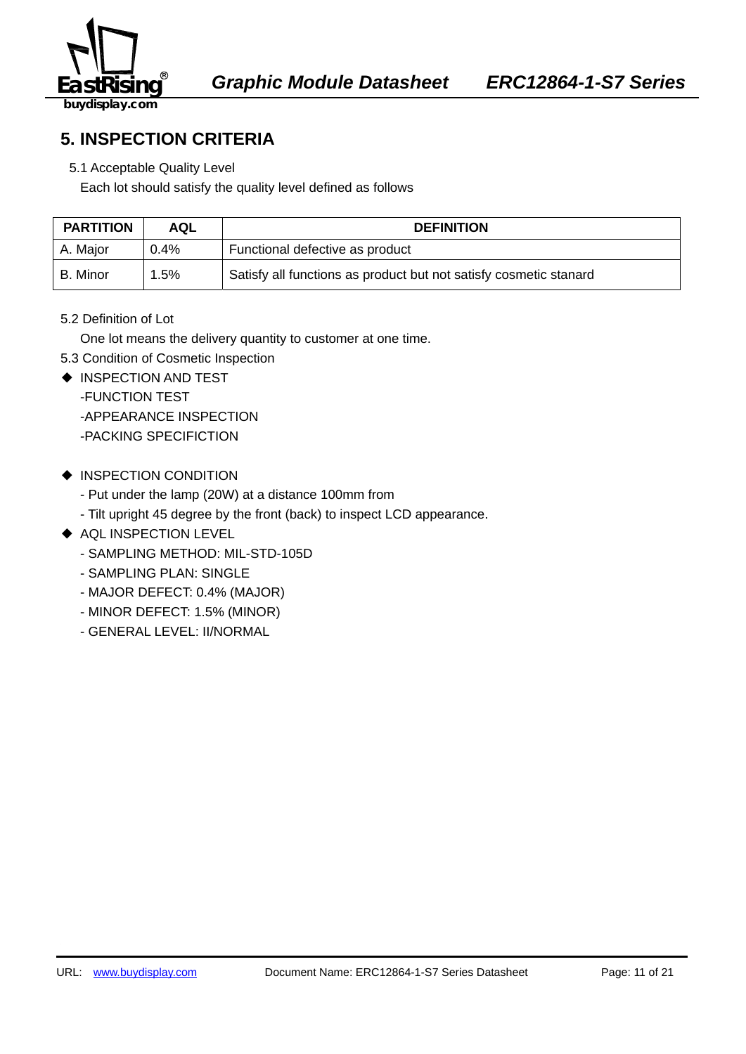

## **5. INSPECTION CRITERIA**

5.1 Acceptable Quality Level

Each lot should satisfy the quality level defined as follows

| <b>PARTITION</b> | <b>AQL</b> | <b>DEFINITION</b>                                                 |
|------------------|------------|-------------------------------------------------------------------|
| A. Major         | $0.4\%$    | Functional defective as product                                   |
| B. Minor         | .5%        | Satisfy all functions as product but not satisfy cosmetic stanard |

5.2 Definition of Lot

One lot means the delivery quantity to customer at one time.

- 5.3 Condition of Cosmetic Inspection
- ◆ INSPECTION AND TEST

-FUNCTION TEST

-APPEARANCE INSPECTION

-PACKING SPECIFICTION

- ◆ INSPECTION CONDITION
	- Put under the lamp (20W) at a distance 100mm from
	- Tilt upright 45 degree by the front (back) to inspect LCD appearance.
- ◆ AQL INSPECTION LEVEL
	- SAMPLING METHOD: MIL-STD-105D
	- SAMPLING PLAN: SINGLE
	- MAJOR DEFECT: 0.4% (MAJOR)
	- MINOR DEFECT: 1.5% (MINOR)
	- GENERAL LEVEL: II/NORMAL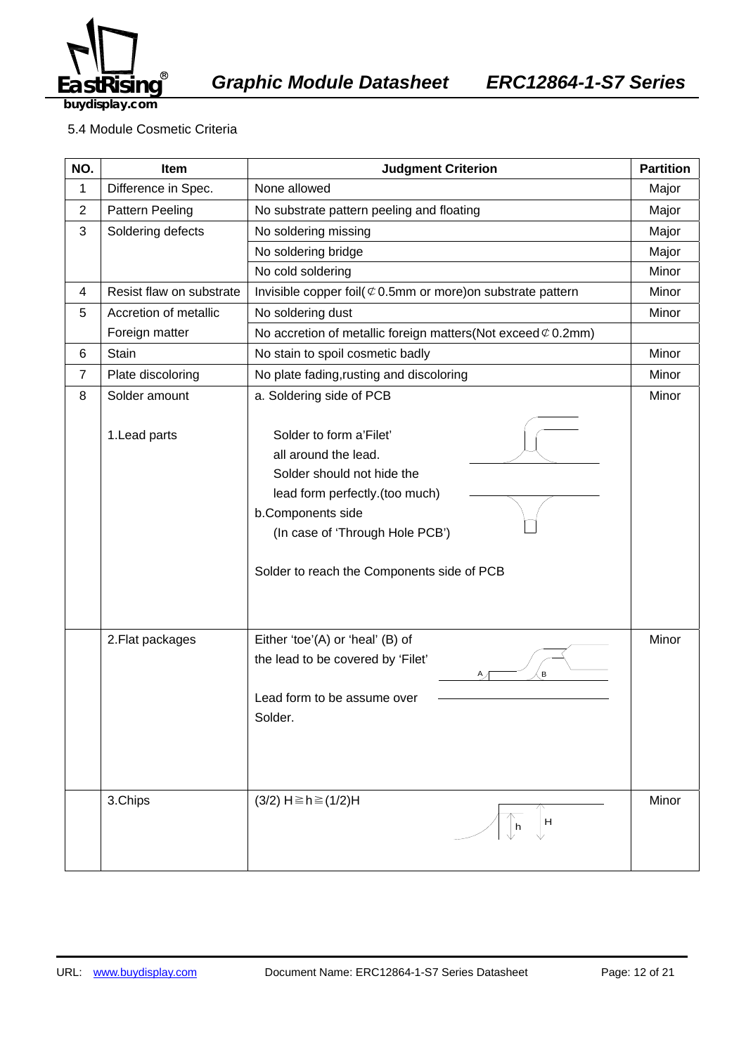

EA *Graphic Module Datasheet ERC12864-1-S7 Series* 

**buydisplay.com**

#### 5.4 Module Cosmetic Criteria

| NO.            | Item                     | <b>Judgment Criterion</b>                                                                                                                                                                                             | <b>Partition</b> |
|----------------|--------------------------|-----------------------------------------------------------------------------------------------------------------------------------------------------------------------------------------------------------------------|------------------|
| 1              | Difference in Spec.      | None allowed                                                                                                                                                                                                          |                  |
| $\mathbf{2}$   | Pattern Peeling          | No substrate pattern peeling and floating                                                                                                                                                                             |                  |
| 3              | Soldering defects        | No soldering missing                                                                                                                                                                                                  |                  |
|                |                          | No soldering bridge                                                                                                                                                                                                   |                  |
|                |                          | No cold soldering                                                                                                                                                                                                     | Minor            |
| 4              | Resist flaw on substrate | Invisible copper foil( $\mathfrak{C}$ 0.5mm or more) on substrate pattern                                                                                                                                             | Minor            |
| 5              | Accretion of metallic    | No soldering dust                                                                                                                                                                                                     | Minor            |
|                | Foreign matter           | No accretion of metallic foreign matters (Not exceed $\mathcal{C}$ 0.2mm)                                                                                                                                             |                  |
| 6              | Stain                    | No stain to spoil cosmetic badly                                                                                                                                                                                      | Minor            |
| $\overline{7}$ | Plate discoloring        | No plate fading, rusting and discoloring                                                                                                                                                                              | Minor            |
| 8              | Solder amount            | a. Soldering side of PCB                                                                                                                                                                                              | Minor            |
|                | 1. Lead parts            | Solder to form a'Filet'<br>all around the lead.<br>Solder should not hide the<br>lead form perfectly.(too much)<br>b.Components side<br>(In case of 'Through Hole PCB')<br>Solder to reach the Components side of PCB |                  |
|                | 2. Flat packages         | Either 'toe'(A) or 'heal' (B) of<br>the lead to be covered by 'Filet'<br>B<br>Lead form to be assume over<br>Solder.                                                                                                  | Minor            |
|                | 3.Chips                  | $(3/2)$ H ≥ h ≥ $(1/2)$ H<br>H<br>h                                                                                                                                                                                   | Minor            |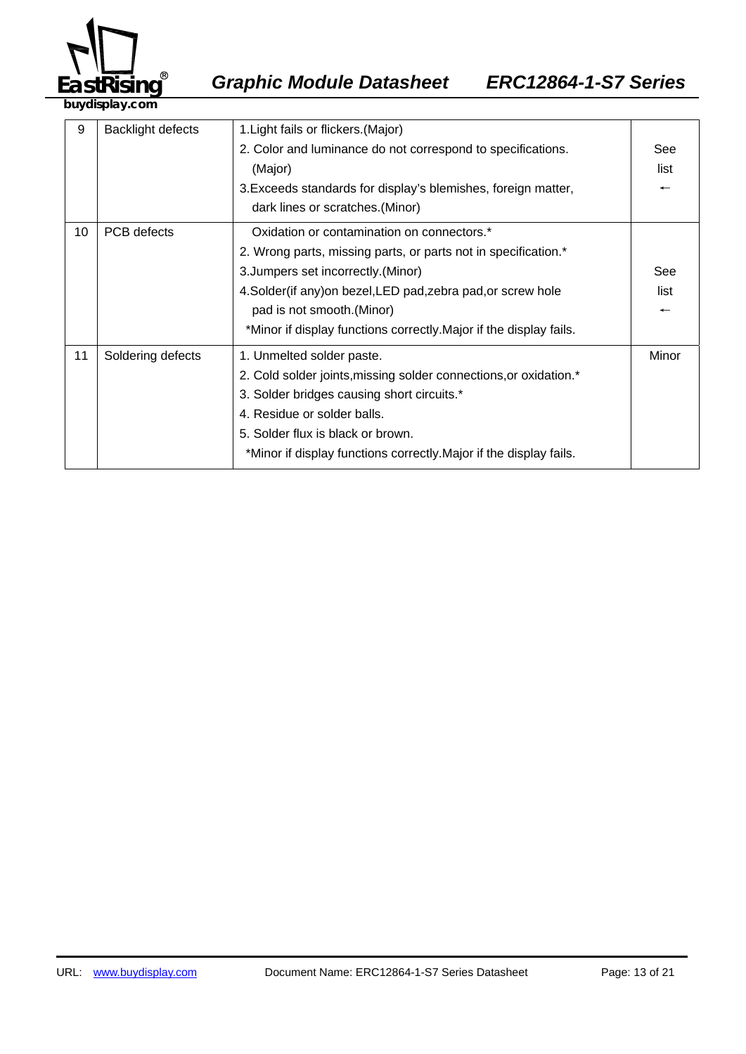

| 9  | <b>Backlight defects</b> | 1. Light fails or flickers. (Major)                                |                          |
|----|--------------------------|--------------------------------------------------------------------|--------------------------|
|    |                          | 2. Color and luminance do not correspond to specifications.        | See                      |
|    |                          | (Major)                                                            | list                     |
|    |                          | 3. Exceeds standards for display's blemishes, foreign matter,      | $\overline{\phantom{m}}$ |
|    |                          | dark lines or scratches. (Minor)                                   |                          |
| 10 | PCB defects              | Oxidation or contamination on connectors.*                         |                          |
|    |                          | 2. Wrong parts, missing parts, or parts not in specification.*     |                          |
|    |                          | 3. Jumpers set incorrectly. (Minor)                                | See                      |
|    |                          | 4. Solder (if any) on bezel, LED pad, zebra pad, or screw hole     | list                     |
|    |                          | pad is not smooth. (Minor)                                         | $\overline{\phantom{0}}$ |
|    |                          | *Minor if display functions correctly. Major if the display fails. |                          |
| 11 | Soldering defects        | 1. Unmelted solder paste.                                          | Minor                    |
|    |                          | 2. Cold solder joints, missing solder connections, or oxidation.*  |                          |
|    |                          | 3. Solder bridges causing short circuits.*                         |                          |
|    |                          | 4. Residue or solder balls.                                        |                          |
|    |                          | 5. Solder flux is black or brown.                                  |                          |
|    |                          | *Minor if display functions correctly. Major if the display fails. |                          |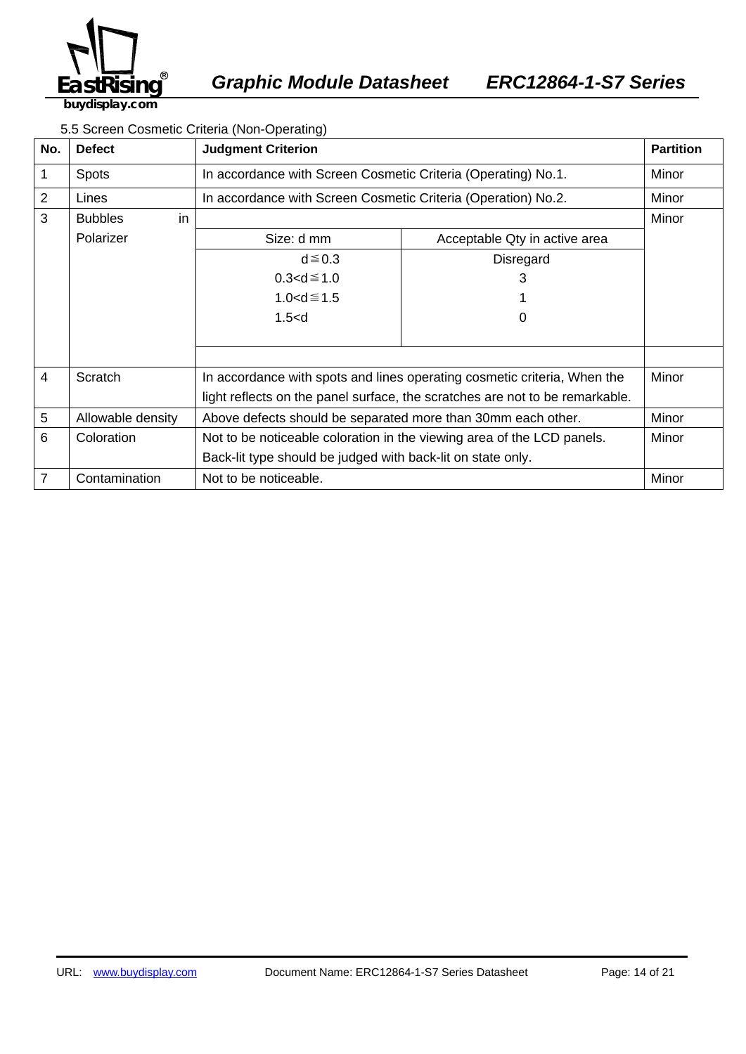

EA *Graphic Module Datasheet ERC12864-1-S7 Series* 

#### 5.5 Screen Cosmetic Criteria (Non-Operating)

| No.            | <b>Defect</b>        | <b>Judgment Criterion</b>                                                    |                               | <b>Partition</b> |
|----------------|----------------------|------------------------------------------------------------------------------|-------------------------------|------------------|
| 1              | <b>Spots</b>         | In accordance with Screen Cosmetic Criteria (Operating) No.1.                |                               | Minor            |
| $\overline{2}$ | Lines                | In accordance with Screen Cosmetic Criteria (Operation) No.2.                |                               | Minor            |
| 3              | <b>Bubbles</b><br>in |                                                                              |                               | Minor            |
|                | Polarizer            | Size: d mm                                                                   | Acceptable Qty in active area |                  |
|                |                      | $d \leq 0.3$                                                                 | <b>Disregard</b>              |                  |
|                |                      | $0.3 < d \le 1.0$                                                            | 3                             |                  |
|                |                      | $1.0 < d \le 1.5$                                                            |                               |                  |
|                |                      | 1.5< d                                                                       | O                             |                  |
|                |                      |                                                                              |                               |                  |
|                |                      |                                                                              |                               |                  |
| $\overline{4}$ | Scratch              | In accordance with spots and lines operating cosmetic criteria, When the     |                               | Minor            |
|                |                      | light reflects on the panel surface, the scratches are not to be remarkable. |                               |                  |
| 5              | Allowable density    | Above defects should be separated more than 30mm each other.                 |                               | Minor            |
| 6              | Coloration           | Not to be noticeable coloration in the viewing area of the LCD panels.       |                               | Minor            |
|                |                      | Back-lit type should be judged with back-lit on state only.                  |                               |                  |
| 7              | Contamination        | Not to be noticeable.                                                        |                               | Minor            |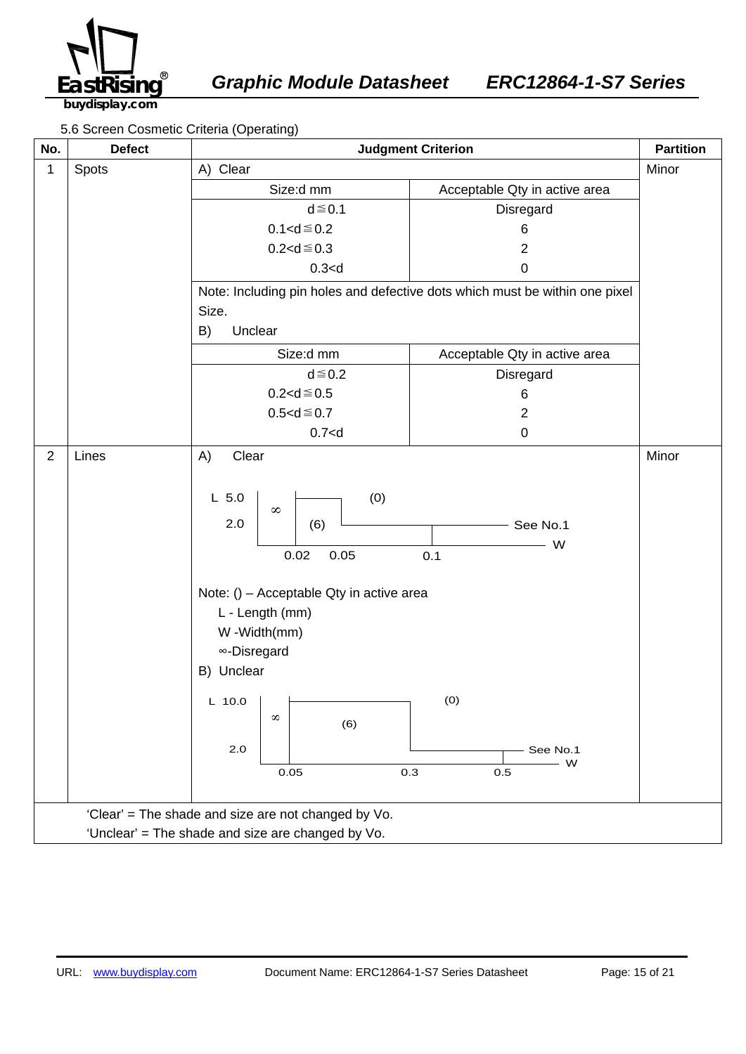

5.6 Screen Cosmetic Criteria (Operating)

| No.                                                 | <b>Defect</b>                                     |                                                                                                                                                                                                                    | <b>Judgment Criterion</b>                                                   | <b>Partition</b> |
|-----------------------------------------------------|---------------------------------------------------|--------------------------------------------------------------------------------------------------------------------------------------------------------------------------------------------------------------------|-----------------------------------------------------------------------------|------------------|
| 1                                                   | Spots                                             | A) Clear                                                                                                                                                                                                           |                                                                             | Minor            |
|                                                     |                                                   | Size:d mm                                                                                                                                                                                                          | Acceptable Qty in active area                                               |                  |
|                                                     |                                                   | $d \leq 0.1$                                                                                                                                                                                                       | Disregard                                                                   |                  |
|                                                     |                                                   | $0.1 < d \le 0.2$                                                                                                                                                                                                  | 6                                                                           |                  |
|                                                     |                                                   | $0.2 < d \le 0.3$                                                                                                                                                                                                  | $\overline{2}$                                                              |                  |
|                                                     |                                                   | 0.3 < d                                                                                                                                                                                                            | $\pmb{0}$                                                                   |                  |
|                                                     |                                                   |                                                                                                                                                                                                                    | Note: Including pin holes and defective dots which must be within one pixel |                  |
|                                                     |                                                   | Size.                                                                                                                                                                                                              |                                                                             |                  |
|                                                     |                                                   | Unclear<br>B)                                                                                                                                                                                                      |                                                                             |                  |
|                                                     |                                                   | Size:d mm                                                                                                                                                                                                          | Acceptable Qty in active area                                               |                  |
|                                                     |                                                   | $d \leq 0.2$                                                                                                                                                                                                       | Disregard                                                                   |                  |
|                                                     |                                                   | $0.2 < d \le 0.5$                                                                                                                                                                                                  | 6                                                                           |                  |
|                                                     |                                                   | $0.5 < d \le 0.7$                                                                                                                                                                                                  | $\overline{2}$                                                              |                  |
|                                                     |                                                   | 0.7 < d                                                                                                                                                                                                            | $\pmb{0}$                                                                   |                  |
| $\overline{2}$                                      | Lines                                             | A)<br>Clear                                                                                                                                                                                                        |                                                                             | Minor            |
|                                                     |                                                   | (0)<br>$L$ 5.0<br>$\infty$<br>2.0<br>(6)<br>0.02<br>0.05<br>Note: () - Acceptable Qty in active area<br>L - Length (mm)<br>W -Width(mm)<br>∞-Disregard<br>B) Unclear<br>$L$ 10.0<br>$\infty$<br>(6)<br>2.0<br>0.05 | See No.1<br>- W<br>0.1<br>(0)<br>See No.1<br>- W<br>0.3<br>0.5              |                  |
| 'Clear' = The shade and size are not changed by Vo. |                                                   |                                                                                                                                                                                                                    |                                                                             |                  |
|                                                     | 'Unclear' = The shade and size are changed by Vo. |                                                                                                                                                                                                                    |                                                                             |                  |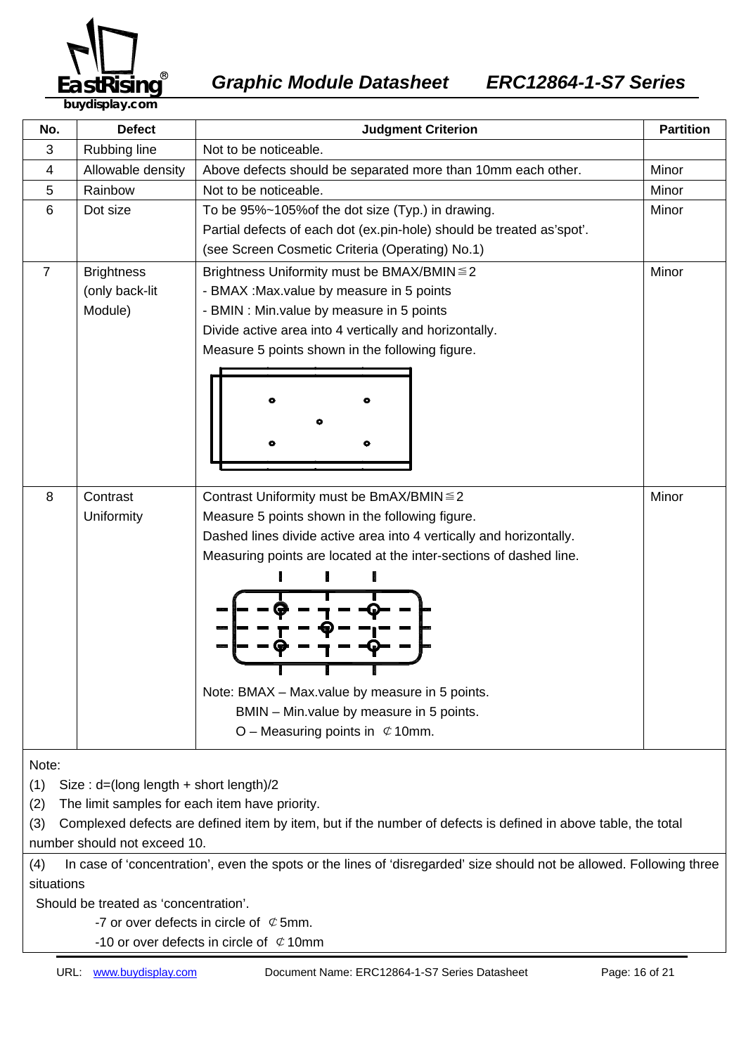

| No.            | <b>Defect</b>                          | <b>Partition</b><br><b>Judgment Criterion</b>                         |       |  |
|----------------|----------------------------------------|-----------------------------------------------------------------------|-------|--|
| 3              | Rubbing line                           | Not to be noticeable.                                                 |       |  |
| 4              | Allowable density                      | Above defects should be separated more than 10mm each other.          | Minor |  |
| 5              | Rainbow                                | Not to be noticeable.                                                 | Minor |  |
| 6              | Dot size                               | To be 95%~105% of the dot size (Typ.) in drawing.                     | Minor |  |
|                |                                        | Partial defects of each dot (ex.pin-hole) should be treated as'spot'. |       |  |
|                |                                        | (see Screen Cosmetic Criteria (Operating) No.1)                       |       |  |
| $\overline{7}$ | <b>Brightness</b>                      | Minor<br>Brightness Uniformity must be BMAX/BMIN ≤ 2                  |       |  |
|                | (only back-lit                         | - BMAX : Max value by measure in 5 points                             |       |  |
|                | Module)                                | - BMIN : Min. value by measure in 5 points                            |       |  |
|                |                                        | Divide active area into 4 vertically and horizontally.                |       |  |
|                |                                        | Measure 5 points shown in the following figure.                       |       |  |
|                |                                        |                                                                       |       |  |
|                |                                        |                                                                       |       |  |
|                |                                        |                                                                       |       |  |
|                |                                        |                                                                       |       |  |
|                |                                        |                                                                       |       |  |
|                |                                        |                                                                       |       |  |
| 8              | Contrast                               | Contrast Uniformity must be BmAX/BMIN ≤ 2                             | Minor |  |
|                | Uniformity                             | Measure 5 points shown in the following figure.                       |       |  |
|                |                                        | Dashed lines divide active area into 4 vertically and horizontally.   |       |  |
|                |                                        | Measuring points are located at the inter-sections of dashed line.    |       |  |
|                |                                        |                                                                       |       |  |
|                |                                        |                                                                       |       |  |
|                |                                        |                                                                       |       |  |
|                |                                        |                                                                       |       |  |
|                |                                        |                                                                       |       |  |
|                |                                        |                                                                       |       |  |
|                |                                        | Note: BMAX - Max.value by measure in 5 points.                        |       |  |
|                |                                        | BMIN - Min.value by measure in 5 points.                              |       |  |
|                |                                        | O – Measuring points in $\mathfrak{C}$ 10mm.                          |       |  |
|                |                                        |                                                                       |       |  |
| Note:          |                                        |                                                                       |       |  |
| (1)            | Size: d=(long length + short length)/2 |                                                                       |       |  |

(2) The limit samples for each item have priority.

(3) Complexed defects are defined item by item, but if the number of defects is defined in above table, the total number should not exceed 10.

(4) In case of 'concentration', even the spots or the lines of 'disregarded' size should not be allowed. Following three situations

Should be treated as 'concentration'.

-7 or over defects in circle of  $\mathfrak C$  5mm.

-10 or over defects in circle of  $\phi$  10mm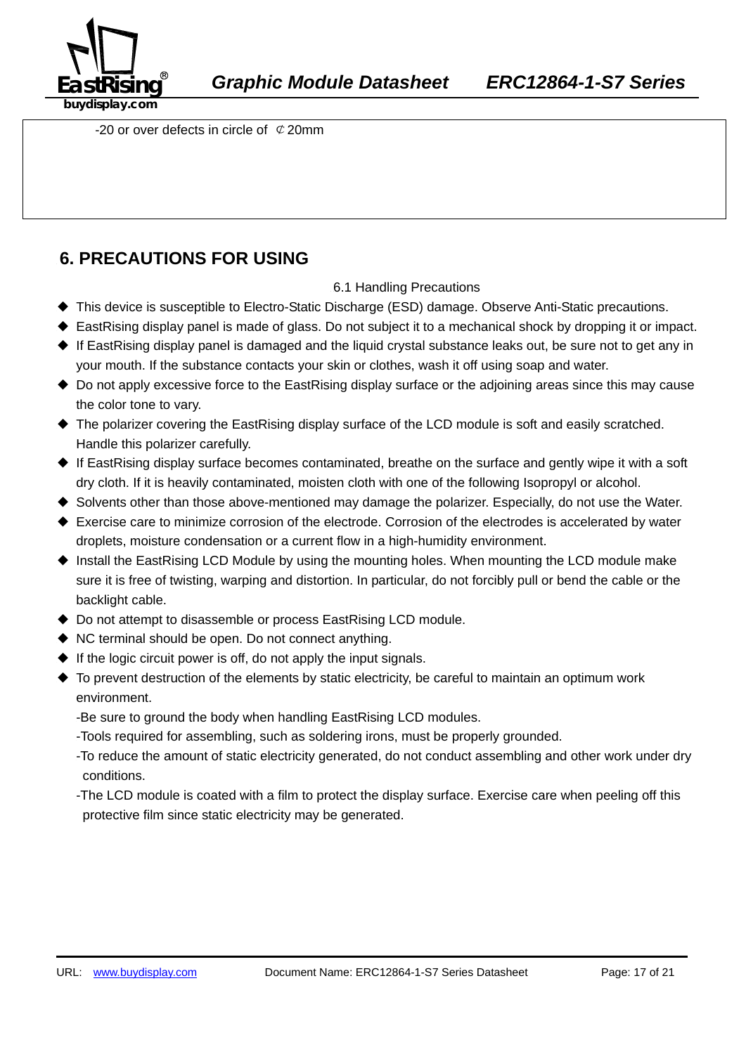

-20 or over defects in circle of  $\mathcal{C}$  20mm

## **6. PRECAUTIONS FOR USING**

#### 6.1 Handling Precautions

- ◆ This device is susceptible to Electro-Static Discharge (ESD) damage. Observe Anti-Static precautions.
- ◆ EastRising display panel is made of glass. Do not subject it to a mechanical shock by dropping it or impact.
- ◆ If EastRising display panel is damaged and the liquid crystal substance leaks out, be sure not to get any in your mouth. If the substance contacts your skin or clothes, wash it off using soap and water.
- ◆ Do not apply excessive force to the EastRising display surface or the adjoining areas since this may cause the color tone to vary.
- ◆ The polarizer covering the EastRising display surface of the LCD module is soft and easily scratched. Handle this polarizer carefully.
- ◆ If EastRising display surface becomes contaminated, breathe on the surface and gently wipe it with a soft dry cloth. If it is heavily contaminated, moisten cloth with one of the following Isopropyl or alcohol.
- ◆ Solvents other than those above-mentioned may damage the polarizer. Especially, do not use the Water.
- ◆ Exercise care to minimize corrosion of the electrode. Corrosion of the electrodes is accelerated by water droplets, moisture condensation or a current flow in a high-humidity environment.
- ◆ Install the EastRising LCD Module by using the mounting holes. When mounting the LCD module make sure it is free of twisting, warping and distortion. In particular, do not forcibly pull or bend the cable or the backlight cable.
- ◆ Do not attempt to disassemble or process EastRising LCD module.
- ◆ NC terminal should be open. Do not connect anything.
- $\blacklozenge$  If the logic circuit power is off, do not apply the input signals.
- ◆ To prevent destruction of the elements by static electricity, be careful to maintain an optimum work environment.
	- -Be sure to ground the body when handling EastRising LCD modules.
	- -Tools required for assembling, such as soldering irons, must be properly grounded.
	- -To reduce the amount of static electricity generated, do not conduct assembling and other work under dry conditions.
	- -The LCD module is coated with a film to protect the display surface. Exercise care when peeling off this protective film since static electricity may be generated.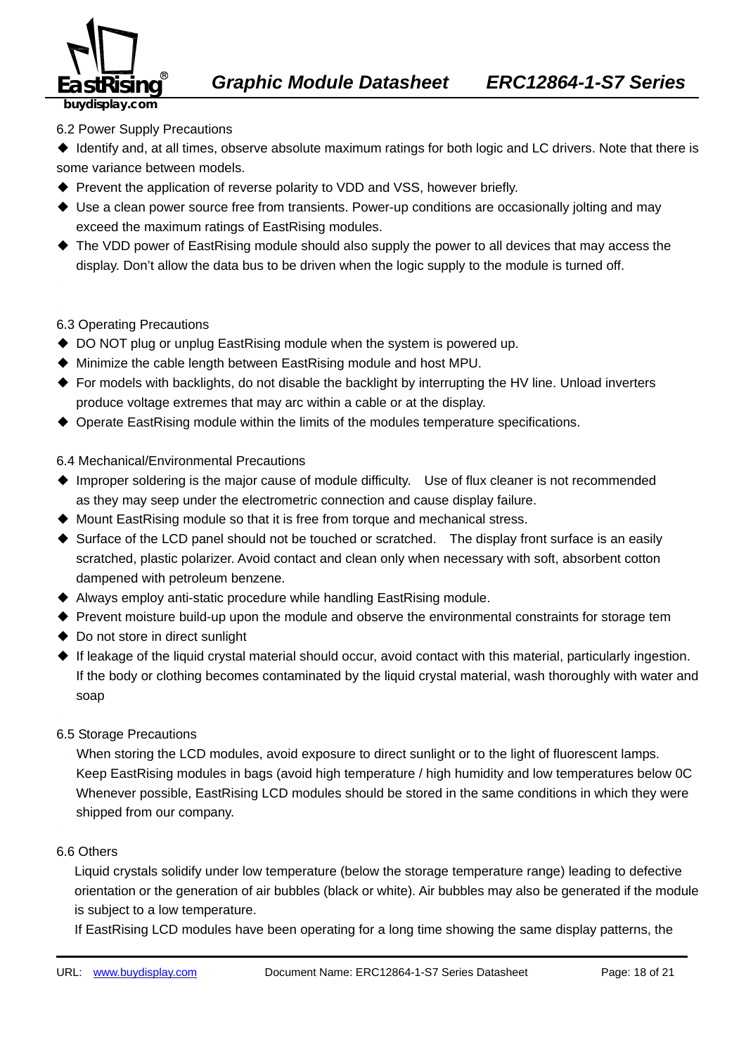

### 6.2 Power Supply Precautions

◆ Identify and, at all times, observe absolute maximum ratings for both logic and LC drivers. Note that there is some variance between models.

- ◆ Prevent the application of reverse polarity to VDD and VSS, however briefly.
- ◆ Use a clean power source free from transients. Power-up conditions are occasionally jolting and may exceed the maximum ratings of EastRising modules.
- ◆ The VDD power of EastRising module should also supply the power to all devices that may access the display. Don't allow the data bus to be driven when the logic supply to the module is turned off.

#### 6.3 Operating Precautions

- ◆ DO NOT plug or unplug EastRising module when the system is powered up.
- ◆ Minimize the cable length between EastRising module and host MPU.
- ◆ For models with backlights, do not disable the backlight by interrupting the HV line. Unload inverters produce voltage extremes that may arc within a cable or at the display.
- ◆ Operate EastRising module within the limits of the modules temperature specifications.

#### 349B6526.4 Mechanical/Environmental Precautions

- ◆ Improper soldering is the major cause of module difficulty. Use of flux cleaner is not recommended as they may seep under the electrometric connection and cause display failure.
- ◆ Mount EastRising module so that it is free from torque and mechanical stress.
- ◆ Surface of the LCD panel should not be touched or scratched. The display front surface is an easily scratched, plastic polarizer. Avoid contact and clean only when necessary with soft, absorbent cotton dampened with petroleum benzene.
- ◆ Always employ anti-static procedure while handling EastRising module.
- ◆ Prevent moisture build-up upon the module and observe the environmental constraints for storage tem
- ◆ Do not store in direct sunlight
- ◆ If leakage of the liquid crystal material should occur, avoid contact with this material, particularly ingestion. If the body or clothing becomes contaminated by the liquid crystal material, wash thoroughly with water and soap
- 6.5 Storage Precautions

When storing the LCD modules, avoid exposure to direct sunlight or to the light of fluorescent lamps. Keep EastRising modules in bags (avoid high temperature / high humidity and low temperatures below 0C Whenever possible, EastRising LCD modules should be stored in the same conditions in which they were shipped from our company.

#### 6.6 Others

Liquid crystals solidify under low temperature (below the storage temperature range) leading to defective orientation or the generation of air bubbles (black or white). Air bubbles may also be generated if the module is subject to a low temperature.

If EastRising LCD modules have been operating for a long time showing the same display patterns, the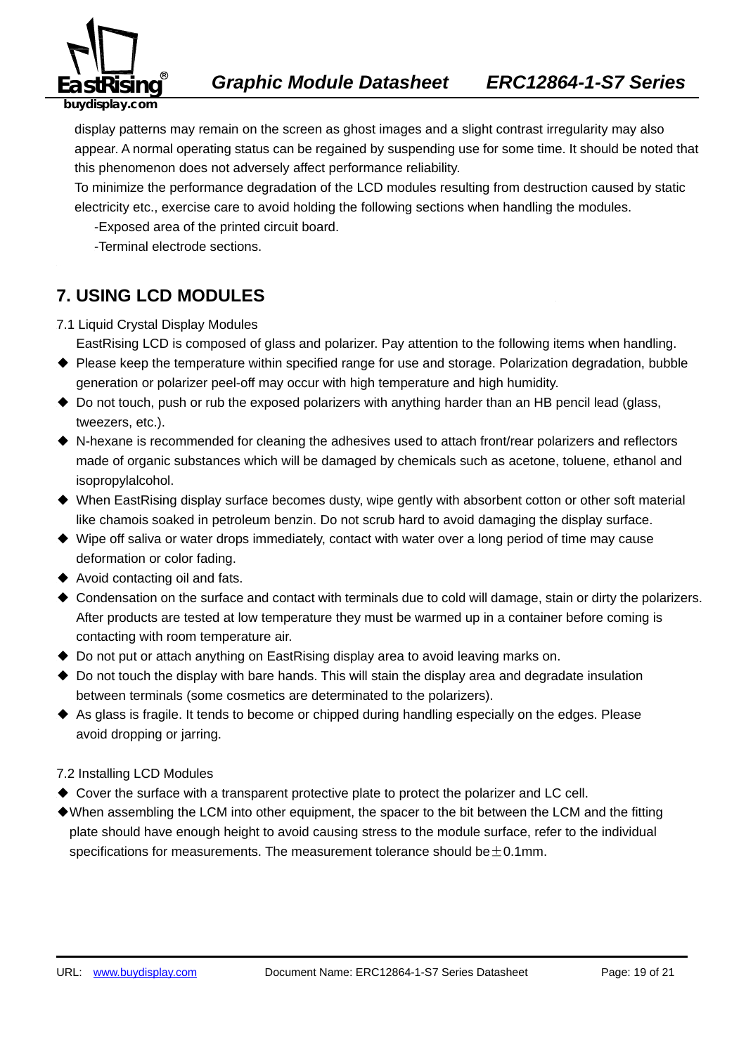

display patterns may remain on the screen as ghost images and a slight contrast irregularity may also appear. A normal operating status can be regained by suspending use for some time. It should be noted that this phenomenon does not adversely affect performance reliability.

To minimize the performance degradation of the LCD modules resulting from destruction caused by static electricity etc., exercise care to avoid holding the following sections when handling the modules.

-Exposed area of the printed circuit board.

-Terminal electrode sections.

## **7. USING LCD MODULES**

7.1 Liquid Crystal Display Modules

EastRising LCD is composed of glass and polarizer. Pay attention to the following items when handling.

- ◆ Please keep the temperature within specified range for use and storage. Polarization degradation, bubble generation or polarizer peel-off may occur with high temperature and high humidity.
- ◆ Do not touch, push or rub the exposed polarizers with anything harder than an HB pencil lead (glass, tweezers, etc.).
- ◆ N-hexane is recommended for cleaning the adhesives used to attach front/rear polarizers and reflectors made of organic substances which will be damaged by chemicals such as acetone, toluene, ethanol and isopropylalcohol.
- ◆ When EastRising display surface becomes dusty, wipe gently with absorbent cotton or other soft material like chamois soaked in petroleum benzin. Do not scrub hard to avoid damaging the display surface.
- ◆ Wipe off saliva or water drops immediately, contact with water over a long period of time may cause deformation or color fading.
- ◆ Avoid contacting oil and fats.
- ◆ Condensation on the surface and contact with terminals due to cold will damage, stain or dirty the polarizers. After products are tested at low temperature they must be warmed up in a container before coming is contacting with room temperature air.
- ◆ Do not put or attach anything on EastRising display area to avoid leaving marks on.
- ◆ Do not touch the display with bare hands. This will stain the display area and degradate insulation between terminals (some cosmetics are determinated to the polarizers).
- ◆ As glass is fragile. It tends to become or chipped during handling especially on the edges. Please avoid dropping or jarring.
- 7.2 Installing LCD Modules
- ◆ Cover the surface with a transparent protective plate to protect the polarizer and LC cell.
- ◆When assembling the LCM into other equipment, the spacer to the bit between the LCM and the fitting plate should have enough height to avoid causing stress to the module surface, refer to the individual specifications for measurements. The measurement tolerance should be  $\pm$  0.1mm.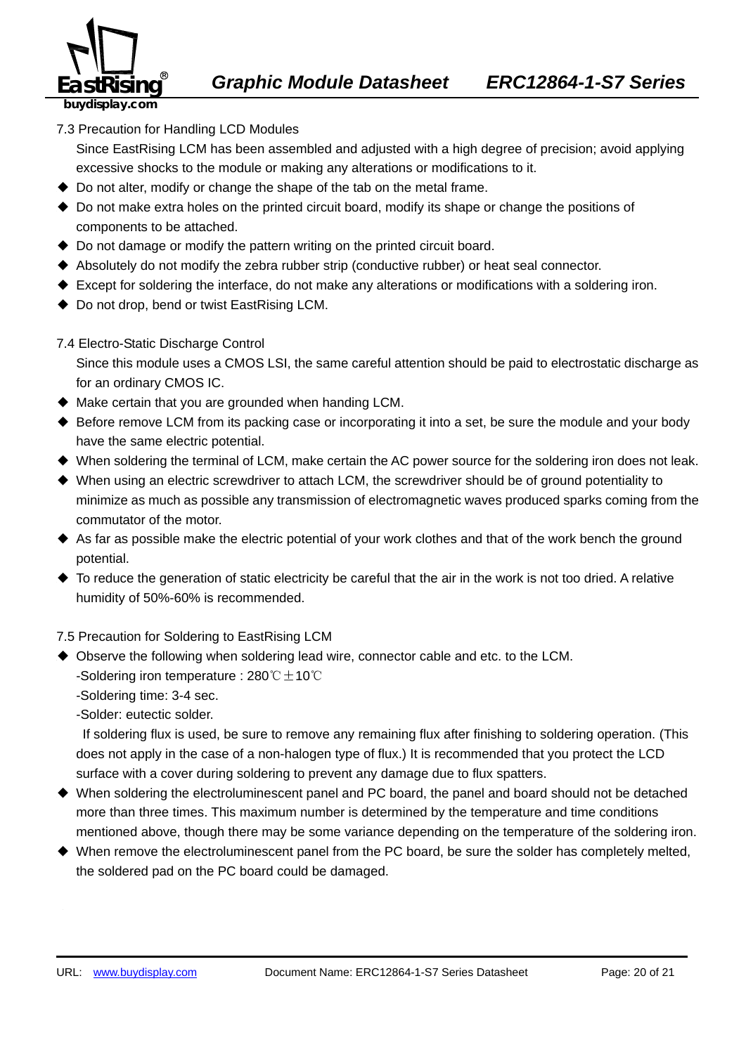

7.3 Precaution for Handling LCD Modules

Since EastRising LCM has been assembled and adjusted with a high degree of precision; avoid applying excessive shocks to the module or making any alterations or modifications to it.

- ◆ Do not alter, modify or change the shape of the tab on the metal frame.
- ◆ Do not make extra holes on the printed circuit board, modify its shape or change the positions of components to be attached.
- $\triangle$  Do not damage or modify the pattern writing on the printed circuit board.
- ◆ Absolutely do not modify the zebra rubber strip (conductive rubber) or heat seal connector.
- ◆ Except for soldering the interface, do not make any alterations or modifications with a soldering iron.
- ◆ Do not drop, bend or twist EastRising LCM.

#### 7.4 Electro-Static Discharge Control

Since this module uses a CMOS LSI, the same careful attention should be paid to electrostatic discharge as for an ordinary CMOS IC.

- ◆ Make certain that you are grounded when handing LCM.
- ◆ Before remove LCM from its packing case or incorporating it into a set, be sure the module and your body have the same electric potential.
- ◆ When soldering the terminal of LCM, make certain the AC power source for the soldering iron does not leak.
- ◆ When using an electric screwdriver to attach LCM, the screwdriver should be of ground potentiality to minimize as much as possible any transmission of electromagnetic waves produced sparks coming from the commutator of the motor.
- ◆ As far as possible make the electric potential of your work clothes and that of the work bench the ground potential.
- ◆ To reduce the generation of static electricity be careful that the air in the work is not too dried. A relative humidity of 50%-60% is recommended.

#### 7.5 Precaution for Soldering to EastRising LCM

- ◆ Observe the following when soldering lead wire, connector cable and etc. to the LCM. -Soldering iron temperature : 280℃ $\pm$ 10℃
	- -Soldering time: 3-4 sec.

-Solder: eutectic solder.

If soldering flux is used, be sure to remove any remaining flux after finishing to soldering operation. (This does not apply in the case of a non-halogen type of flux.) It is recommended that you protect the LCD surface with a cover during soldering to prevent any damage due to flux spatters.

- ◆ When soldering the electroluminescent panel and PC board, the panel and board should not be detached more than three times. This maximum number is determined by the temperature and time conditions mentioned above, though there may be some variance depending on the temperature of the soldering iron.
- ◆ When remove the electroluminescent panel from the PC board, be sure the solder has completely melted, the soldered pad on the PC board could be damaged.